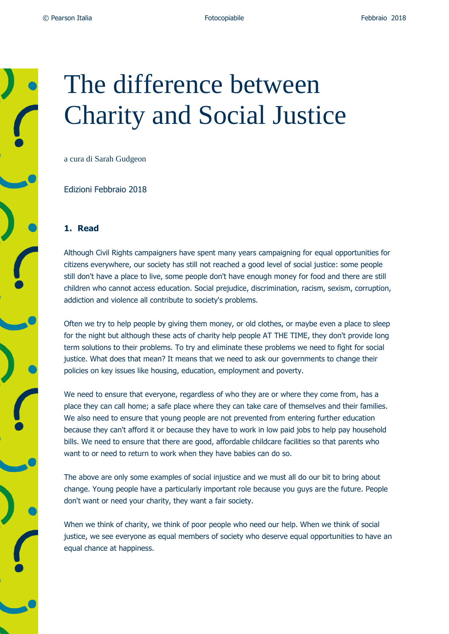## The difference between Charity and Social Justice

a cura di Sarah Gudgeon

Edizioni Febbraio 2018

## **1. Read**

Although Civil Rights campaigners have spent many years campaigning for equal opportunities for citizens everywhere, our society has still not reached a good level of social justice: some people still don't have a place to live, some people don't have enough money for food and there are still children who cannot access education. Social prejudice, discrimination, racism, sexism, corruption, addiction and violence all contribute to society's problems.

Often we try to help people by giving them money, or old clothes, or maybe even a place to sleep for the night but although these acts of charity help people AT THE TIME, they don't provide long term solutions to their problems. To try and eliminate these problems we need to fight for social justice. What does that mean? It means that we need to ask our governments to change their policies on key issues like housing, education, employment and poverty.

We need to ensure that everyone, regardless of who they are or where they come from, has a place they can call home; a safe place where they can take care of themselves and their families. We also need to ensure that young people are not prevented from entering further education because they can't afford it or because they have to work in low paid jobs to help pay household bills. We need to ensure that there are good, affordable childcare facilities so that parents who want to or need to return to work when they have babies can do so.

The above are only some examples of social injustice and we must all do our bit to bring about change. Young people have a particularly important role because you guys are the future. People don't want or need your charity, they want a fair society.

When we think of charity, we think of poor people who need our help. When we think of social justice, we see everyone as equal members of society who deserve equal opportunities to have an equal chance at happiness.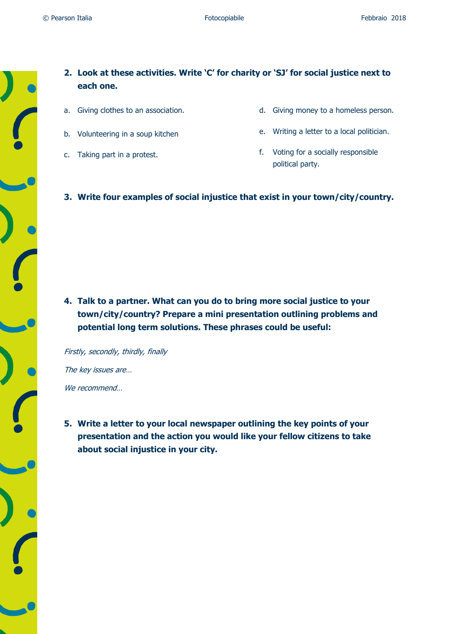- **2. Look at these activities. Write 'C' for charity or 'SJ' for social justice next to each one.**
- a. Giving clothes to an association.
- b. Volunteering in a soup kitchen
- c. Taking part in a protest.
- d. Giving money to a homeless person.
- e. Writing a letter to a local politician.
- f. Voting for a socially responsible political party.
- **3. Write four examples of social injustice that exist in your town/city/country.**

**4. Talk to a partner. What can you do to bring more social justice to your town/city/country? Prepare a mini presentation outlining problems and potential long term solutions. These phrases could be useful:**

Firstly, secondly, thirdly, finally The key issues are… We recommend…

**5. Write a letter to your local newspaper outlining the key points of your presentation and the action you would like your fellow citizens to take about social injustice in your city.**